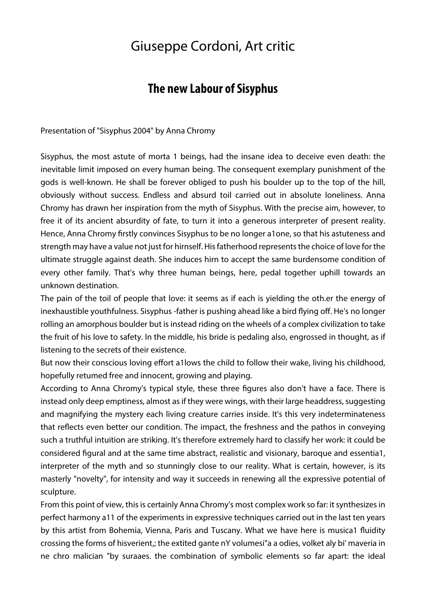## Giuseppe Cordoni, Art critic

## **The new Labour of Sisyphus**

Presentation of "Sisyphus 2004" by Anna Chromy

Sisyphus, the most astute of morta 1 beings, had the insane idea to deceive even death: the inevitable limit imposed on every human being. The consequent exemplary punishment of the gods is well-known. He shall be forever obliged to push his boulder up to the top of the hill, obviously without success. Endless and absurd toil carried out in absolute loneliness. Anna Chromy has drawn her inspiration from the myth of Sisyphus. With the precise aim, however, to free it of its ancient absurdity of fate, to turn it into a generous interpreter of present reality. Hence, Anna Chromy firstly convinces Sisyphus to be no longer a1one, so that his astuteness and strength may have a value not just for hirnself. His fatherhood represents the choice of love for the ultimate struggle against death. She induces hirn to accept the same burdensome condition of every other family. That's why three human beings, here, pedal together uphill towards an unknown destination.

The pain of the toil of people that love: it seems as if each is yielding the oth.er the energy of inexhaustible youthfulness. Sisyphus -father is pushing ahead like a bird flying off. He's no longer rolling an amorphous boulder but is instead riding on the wheels of a complex civilization to take the fruit of his love to safety. In the middle, his bride is pedaling also, engrossed in thought, as if listening to the secrets of their existence.

But now their conscious loving effort a1lows the child to follow their wake, living his childhood, hopefully retumed free and innocent, growing and playing.

According to Anna Chromy's typical style, these three figures also don't have a face. There is instead only deep emptiness, almost as if they were wings, with their large headdress, suggesting and magnifying the mystery each living creature carries inside. It's this very indeterminateness that reflects even better our condition. The impact, the freshness and the pathos in conveying such a truthful intuition are striking. It's therefore extremely hard to classify her work: it could be considered figural and at the same time abstract, realistic and visionary, baroque and essentia1, interpreter of the myth and so stunningly close to our reality. What is certain, however, is its masterly "novelty", for intensity and way it succeeds in renewing all the expressive potential of sculpture.

From this point of view, this is certainly Anna Chromy's most complex work so far: it synthesizes in perfect harmony a11 of the experiments in expressive techniques carried out in the last ten years by this artist from Bohemia, Vienna, Paris and Tuscany. What we have here is musica1 fluidity crossing the forms of hisverient,; the extited gante nY volumesi"a a odies, volket aly bi' maveria in ne chro malician "by suraaes. the combination of symbolic elements so far apart: the ideal